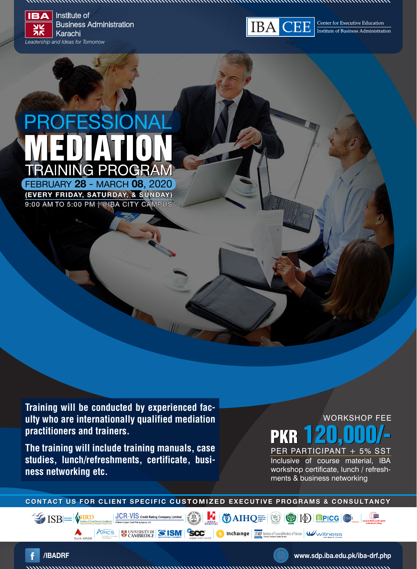Institute of IBA Business Administration **AK** Karachi *Leadership and Ideas for Tomorrow*



Center for Executive Education<br>Institute of Business Administration

# GRAM G PR

FEBRUARY **28** - MARCH **08**, 2020 9:00 AM TO 5:00 PM | @IBA CITY CAMPUS

**Training will be conducted by experienced faculty who are internationally qualified mediation practitioners and trainers.**

**The training will include training manuals, case studies, lunch/refreshments, certificate, business networking etc.**

WORKSHOP FEE **PKR** PER PARTICIPANT + 5% SST

Inclusive of course material, IBA workshop certificate, lunch / refreshments & business networking

**CONTACT US FOR CLIENT SPECIFIC CUSTOMIZED EXECUTIVE PROGRAMS & CONSULTANCY** 

**ARRESERVED STATES ISM SECOND Inchainge FOR STATES ISSUE OF A STATE OF A STATE OF A STATE OF A STATE OF A STATE OF A STATE OF A STATE OF A STATE OF A STATE OF A STATE OF A STATE OF A STATE OF A STATE OF A STATE OF A STATE** 





**SET ISB** and the **SET OF ALL PROPERTY**